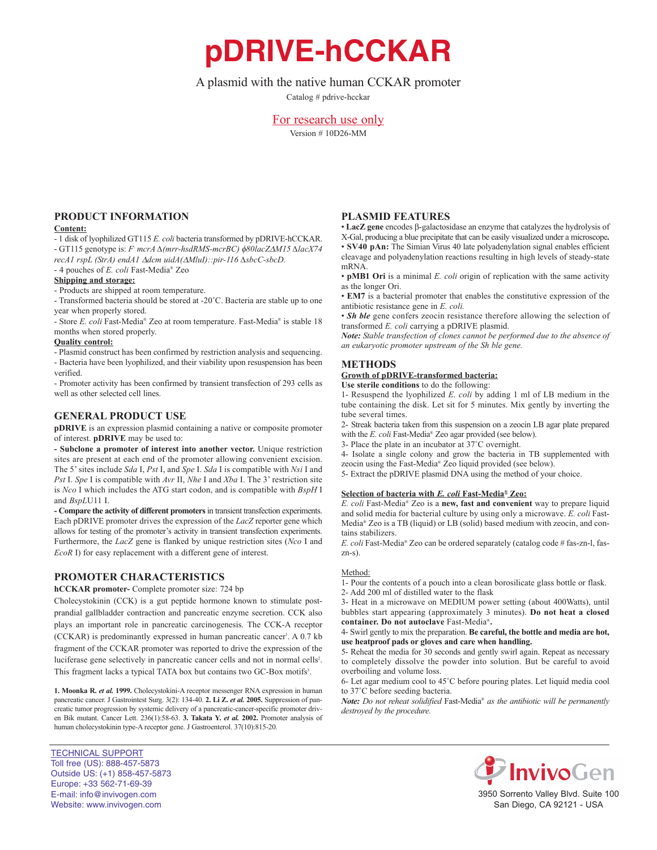# **pDRIVE-hCCKAR**

## A plasmid with the native human CCKAR promoter

Catalog # pdrive-hcckar

## For research use only

Version # 10D26-MM

## **PrOduct infOrmatiOn**

#### **content:**

- 1 disk of lyophilized GT115 *E. coli* bacteria transformed by pDRIVE-hCCKAR. - GT115 genotype is: *F- mcrA ∆(mrr-hsdRMS-mcrBC)* f*80lacZ*D*M15 ∆lacX74 recA1 rspL (StrA) endA1* D*dcm uidA(*D*MluI)::pir-116 ∆sbcC-sbcD.*

- 4 pouches of *E. coli* Fast-Media® Zeo

### **shipping and storage:**

- Products are shipped at room temperature.

- Transformed bacteria should be stored at -20˚C. Bacteria are stable up to one year when properly stored.

- Store *E. coli* Fast-Media® Zeo at room temperature. Fast-Media® is stable 18 months when stored properly.

#### **Quality control:**

- Plasmid construct has been confirmed by restriction analysis and sequencing.

- Bacteria have been lyophilized, and their viability upon resuspension has been verified.

- Promoter activity has been confirmed by transient transfection of 293 cells as well as other selected cell lines.

## **General PrOduct use**

**pDRIVE** is an expression plasmid containing a native or composite promoter of interest. **pDRIVE** may be used to:

**- subclone a promoter of interest into another vector.** Unique restriction sites are present at each end of the promoter allowing convenient excision. The 5' sites include *Sda* I, *Pst* I, and *Spe* I. *Sda* I is compatible with *Nsi* I and *Pst* I. *Spe* I is compatible with *Avr* II, *Nhe* I and *Xba* I. The 3' restriction site is *Nco* I which includes the ATG start codon, and is compatible with *BspH* I and *BspL*U11 I.

**- compare the activity of different promoters**in transient transfection experiments. Each pDRIVE promoter drives the expression of the *LacZ* reporter gene which allows for testing of the promoter's activity in transient transfection experiments. Furthermore, the *LacZ* gene is flanked by unique restriction sites (*Nco* I and *EcoR* I) for easy replacement with a different gene of interest.

## **PrOmOter characteristics**

**hCCKAR** promoter- Complete promoter size: 724 bp

Cholecystokinin (CCK) is a gut peptide hormone known to stimulate postprandial gallbladder contraction and pancreatic enzyme secretion. CCK also plays an important role in pancreatic carcinogenesis. The CCK-A receptor (CCKAR) is predominantly expressed in human pancreatic cancer<sup>1</sup>. A 0.7 kb fragment of the CCKAR promoter was reported to drive the expression of the luciferase gene selectively in pancreatic cancer cells and not in normal cells<sup>2</sup>. This fragment lacks a typical TATA box but contains two GC-Box motifs<sup>3</sup>.

1. Moonka R. et al. 1999. Cholecystokini-A receptor messenger RNA expression in human pancreatic cancer. J Gastrointest Surg. 3(2): 134-40. **2. li Z.** *et al.* **2005.** Suppression of pancreatic tumor progression by systemic delivery of a pancreatic-cancer-specific promoter driven Bik mutant. Cancer Lett. 236(1):58-63. **3. takata Y.** *et al.* **2002.** Promoter analysis of human cholecystokinin type-A receptor gene. J Gastroenterol. 37(10):815-20.

TECHNICAL SUPPORT Toll free (US): 888-457-5873 Outside US: (+1) 858-457-5873 Europe: +33 562-71-69-39 E-mail: info@invivogen.com Website: www.invivogen.com

## **Plasmid features**

• LacZ gene encodes β-galactosidase an enzyme that catalyzes the hydrolysis of X-Gal, producing a blue precipitate that can be easily visualized under a microscope**.** • **SV40 pAn:** The Simian Virus 40 late polyadenylation signal enables efficient cleavage and polyadenylation reactions resulting in high levels of steady-state mRNA.

• **pmB1 Ori** is a minimal *E. coli* origin of replication with the same activity as the longer Ori.

• **em7** is a bacterial promoter that enables the constitutive expression of the antibiotic resistance gene in *E. coli.*

• *Sh ble* gene confers zeocin resistance therefore allowing the selection of transformed *E. coli* carrying a pDRIVE plasmid.

*Note: Stable transfection of clones cannot be performed due to the absence of an eukaryotic promoter upstream of the Sh ble gene.*

## **methOds**

## **Growth of pDRIVE-transformed bacteria:**

**use sterile conditions** to do the following:

1- Resuspend the lyophilized *E. coli* by adding 1 ml of LB medium in the tube containing the disk. Let sit for 5 minutes. Mix gently by inverting the tube several times.

2- Streak bacteria taken from this suspension on a zeocin LB agar plate prepared with the *E. coli* Fast-Media® Zeo agar provided (see below).

3- Place the plate in an incubator at 37˚C overnight.

4- Isolate a single colony and grow the bacteria in TB supplemented with zeocin using the Fast-Media® Zeo liquid provided (see below).

5- Extract the pDRIVE plasmid DNA using the method of your choice.

## **selection of bacteria with** *E. coli* **fast-media® Zeo:**

*E. coli* Fast-Media® Zeo is a **new, fast and convenient** way to prepare liquid and solid media for bacterial culture by using only a microwave. *E. coli* Fast-Media® Zeo is a TB (liquid) or LB (solid) based medium with zeocin, and contains stabilizers.

*E. coli* Fast-Media® Zeo can be ordered separately (catalog code # fas-zn-l, faszn-s).

#### Method:

1- Pour the contents of a pouch into a clean borosilicate glass bottle or flask.

2- Add 200 ml of distilled water to the flask

3- Heat in a microwave on MEDIUM power setting (about 400Watts), until bubbles start appearing (approximately 3 minutes). Do not heat a closed **container. do not autoclave** Fast-Media®**.**

4- Swirl gently to mix the preparation. **Be careful, the bottle and media are hot, use heatproof pads or gloves and care when handling.**

5- Reheat the media for 30 seconds and gently swirl again. Repeat as necessary to completely dissolve the powder into solution. But be careful to avoid overboiling and volume loss.

6- Let agar medium cool to 45˚C before pouring plates. Let liquid media cool to 37˚C before seeding bacteria.

*Note: Do not reheat solidified* Fast-Media® *as the antibiotic will be permanently destroyed by the procedure.*



3950 Sorrento Valley Blvd. Suite 100 San Diego, CA 92121 - USA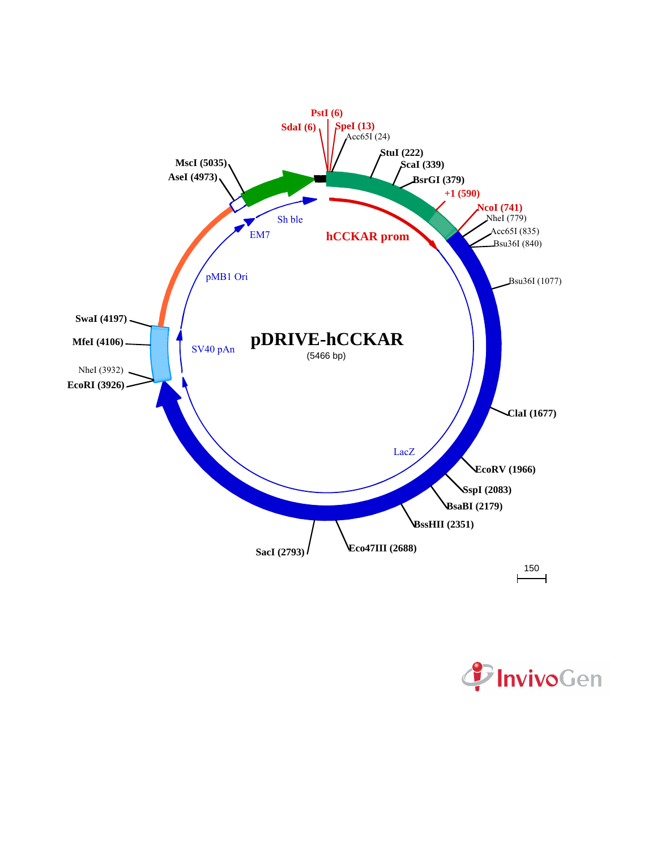

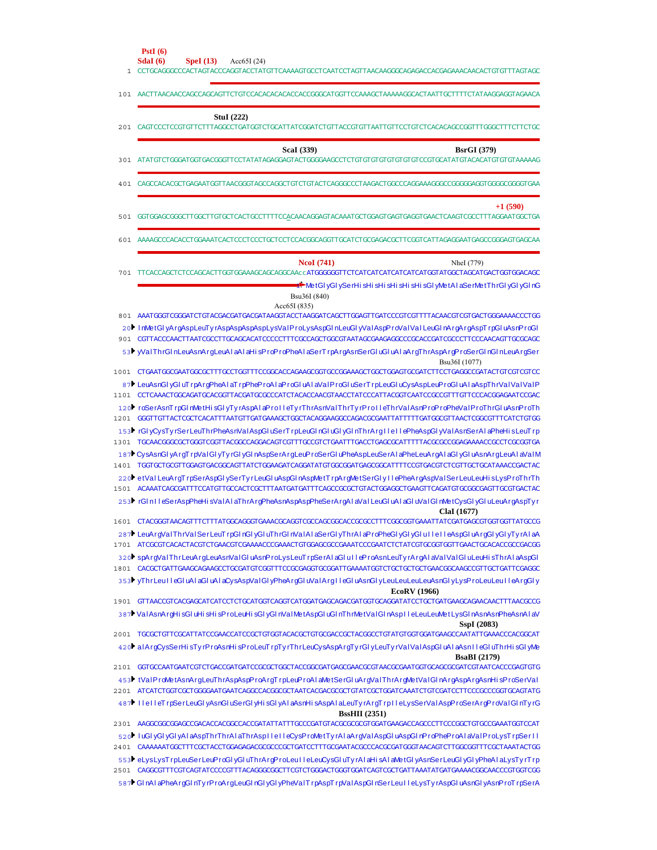| 101 AACTTAACAACCAGCCAGCAGTTCTGTCCACACACACACCACCGGGCATGGTTCCAAAGGCTAAAAAGGCACTAATTGCTTTTCTATAAGGAGGTAGAACA                                                                                                                             |                     |
|---------------------------------------------------------------------------------------------------------------------------------------------------------------------------------------------------------------------------------------|---------------------|
|                                                                                                                                                                                                                                       |                     |
| <b>StuI</b> (222)<br>201 CAGTCCCTCCGTGTTCTTTAGGCCTGATGGTCTGCATTATCGGATCTGTTACCGTGTTAATTGTTCCTGTCTCACACAGCCGGTTTGGGCTTTCTTCTGC                                                                                                         |                     |
| <b>ScaI</b> (339)                                                                                                                                                                                                                     | <b>BsrGI</b> (379)  |
|                                                                                                                                                                                                                                       |                     |
|                                                                                                                                                                                                                                       | $+1(590)$           |
| 601 AAAAGCCCACACCTGGAAATCACTCCCTCCCTGCTCCTCCACGGCAGGTTGCATCTGCGAGACGCTTCGGTCATTAGAGGAATGAGCCGGGAGTGAGCAA                                                                                                                              |                     |
| <b>NcoI</b> (741)                                                                                                                                                                                                                     | Nhel (779)          |
| 701 TTCACCAGCTCTCCAGCACTTGGTGGAAAGCAGCAGCAGCCAAccATGGGGGGTTCTCATCATCATCATCATCATGGTATGGCTAGCATGACTGGTGGACAGC<br>MetGlyGlySerHisHisHisHisHisHisHisGlyMetAlaSerMetThrGlyGlyGlnGبا<br>Bsu36I (840)                                        |                     |
| Acc65I(835)<br>801 AAATGGGTCGGGATCTGTACGACGATGACGATAAGGTACCTAAGGATCAGCTTGGAGTTGATCCCGTCGTTTTACAACGTCGTGACTGGGAAAACCCTGG                                                                                                               |                     |
| 20 InMetGI yArgAspLeuTy rAspAspAspAspLysVaIP roLysAspGI nLeuGI yVaIAspP roVaIVaI LeuGI nArgArgAspT rpGI uAsnProGI<br>901 CGTTACCCAACTTAATCGCCTTGCAGCACATCCCCCTTTCGCCAGCTGGCGTAATAGCGAAGAGGCCCGCACCGATCGCCCTTCCCAACAGTTGCGCAGC         |                     |
| 53 ValThrGl nLeuAsnArgLeuAl aAl aHi sProProPheAl aSerTrpArgAsnSerGl uGl uAl aArgThrAspArgProSerGl nGl nLeuArgSer                                                                                                                      | Bsu36I (1077)       |
|                                                                                                                                                                                                                                       |                     |
| 87 LeuAsnGI yGI uT rpArgPheAI aT rpPheP roAI aP roGI uAI aVaIP roGI uSerT rpLeuGI uCysAspLeuP roGI uAI aAspThrVaIVaIVaIP<br>1101 CCTCAAACTGGCAGATGCACGGTTACGATGCGCCCATCTACACCAACGTAACCTATCCCATTACGGTCAATCCGCCGTTTGTTCCCACGGAGAATCCGAC |                     |
| 120 roSerAsnTrpGInMetHisGIyTyrAspAIaProIIeTyrThrAsnVaIThrTyrProIIeThrVaIAsnProProPheVaIProThrGIuAsnProTh<br>1201 GGGTTGTTACTCGCTCACATTTAATGTTGATGAAAGCTGGCTACAGGAAGGCCAGACGCGAATTATTTTTGATGGCGTTAACTCGGCGTTTCATCTGTGG                 |                     |
| 153 FrGI yCysTyrSerLeuThrPheAsnVaIAspGI uSerTrpLeuGInGI uGI yGInThrArgIIeIIePheAspGI yVaIAsnSerAIaPheHisLeuTrp<br>1301 TGCAACGGGCGCTGGGTCGGTTACGGCCAGGACAGTCGTTTGCCGTCTGAATTTGACCTGAGCGCATTTTTACGCGCCGGAGAAAACCGCCTCGCGGTGA           |                     |
| 187▶CysAsnGlyArgTrpVaIGIyTyrGlyGlnAspSerArgLeuProSerGluPheAspLeuSerAlaPheLeuArgAlaGlyGluAsnArgLeuAlaVaIM<br>1401 TGGTGCTGCGTTGGAGTGACGGCAGTTATCTGGAAGATCAGGATATGTGGCGGATGAGCGGCATTTTCCGTGACGTCTCGTTGCTGCATAAACCGACTAC                 |                     |
| 220▶etValLeuArgTrpSerAspGlySerTyrLeuGluAspGlnAspMetTrpArgMetSerGlyllePheArgAspValSerLeuLeuHisLysProThrTh<br>1501 ACAAATCAGCGATTTCCATGTTGCCACTCGCTTTAATGATGATTTCAGCCGCGCTGTACTGGAGGCTGAAGTTCAGATGTGCGGCGAGTTGCGTGACTAC                 |                     |
| 253 FrGIn1 I eSerAspPheHisVaIAI aThrArgPheAsnAspAspPheSerArgAI aVaI LeuGI uAI aGI uVaIGI nMetCysGI yGI uLeuArgAspTyr                                                                                                                  | ClaI (1677)         |
| 1601 CTACGGGTAACAGTTTCTTTATGGCAGGGTGAAACGCAGGTCGCCAGCGGCACCGCGCCTTTCGGCGGTGAAATTATCGATGAGCGTGGTTATGCCG                                                                                                                                |                     |
| 287 LeuArqVaIThrVaISerLeuTrpGInGIyGIuThrGInVaIAIaSerGIyThrAIaProPheGIyGIyGIuIIeIIeAspGIuArqGIyGIyTyrAIaA<br>1701 ATCGCGTCACACTACGTCTGAACGTCGAAAACCCGAAACTGTGGAGCGCCGAAATCCCGAATCTCTATCGTGCGGTGGTTGAACTGCACACCGCCGACGG                 |                     |
| 320 SpArgValThrLeuArgLeuAsnValGluAsnProLysLeuTrpSerAlaGluIIeProAsnLeuTyrArgAlaValValGluLeuHisThrAlaAspGl<br>1801 CACGCTGATTGAAGCAGAAGCCTGCGATGTCGGTTTCCGCGAGGTGCGGATTGAAAATGGTCTGCTGCTGCTGAACGGCAAGCCGTTGCTGATTCGAGGC                 |                     |
| 353 VThrLeul I eGI uAI aGI uAI aCysAspVaIGI yPheArgGI uVaIArgII eGI uAsnGI yLeuLeuLeuLeueusnGI yLysProLeuLeuII eArgGI y<br><b>EcoRV</b> (1966)                                                                                        |                     |
| 1901 GTTAACCGTCACGAGCATCATCCTCTGCATGGTCAGGTCATGGATGAGCAGACGATGGTGCAGGATATCCTGCTGATGAAGCAGCAACTTTAACGCCG                                                                                                                               |                     |
| 387 Val AsnArgHisGluHisHisProLeuHisGlyGlnValMetAspGluGlnThrMetValGlnAsplleLeuLeuMetLysGlnAsnAsnPheAsnAlaV                                                                                                                             | SspI (2083)         |
| 2001 TGCGCTGTTCGCATTATCCGAACCATCCGCTGTGGTACACGCTGTGCGACCGCTACGGCCTGTATGTGGTGGATGAAGCCAATATTGAAACCCACGGCAT                                                                                                                             |                     |
| 420 alArgCysSerHisTyrProAsnHisProLeuTrpTyrThrLeuCysAspArgTyrGlyLeuTyrValValAspGluAlaAsnIIeGluThrHisGlyMe                                                                                                                              | <b>BsaBI</b> (2179) |
| 2101 GGTGCCAATGAATCGTCTGACCGATGATCCGCGCTGGCTACCGGCGATGAGCGAACGCGTAACGCGAATGGTGCAGCGCGATCGTAATCACCCGAGTGTG<br>453 ₺tValProMetAsnArgLeuThrAspAspProArgTrpLeuProAlaMetSerGluArgValThrArgMetValGlnArgAspArgAsnHisProSerVal                |                     |
|                                                                                                                                                                                                                                       |                     |
| 487 I I e I I eT rpSerLeuGI yAsnGI uSerGI yHi sGI yAI aAsnHi sAspAI aLeuTy rArgT rp I I eLysSerVaI AspP roSerArgP roVaI GI nTy rG<br><b>BssHII</b> (2351)                                                                             |                     |
|                                                                                                                                                                                                                                       |                     |
| 520 LuGI yGI yGI yAI aAspThrThrAI aThrAspIIeIIeCysProMetTyrAI aArgVaIAspGI uAspGI nProPheProAI aVaIProLysTrpSerII                                                                                                                     |                     |

CAAAAAATGGCTTTCGCTACCTGGAGAGACGCGCCCGCTGATCCTTTGCGAATACGCCCACGCGATGGGTAACAGTCTTGGCGGTTTCGCTAAATACTGG 2401 CAGGCGTTTCGTCAGTATCCCCGTTTACAGGGCGGCTTCGTCTGGGACTGGGTGGATCAGTCGCTGATTAAATATGATGAAAACGGCAACCCGTGGTCGG 2501 553▶eLysLysTrpLeuSerLeuProGlyGl uThrArgProLeu I leLeuCysGl uTy rAI aHi sAI aMetGl yAsnSerLeuGl yGl yPheAI aLysTy rTrp

587▶GI nAI aPheA rgGI nTy rP roArgLeuGI nGI yGI yPheVa IT rpAspT rpVa IAspGI nSe rLeu I I eLysTy rAspGI uAsnGI yAsnP roT rpSe rA